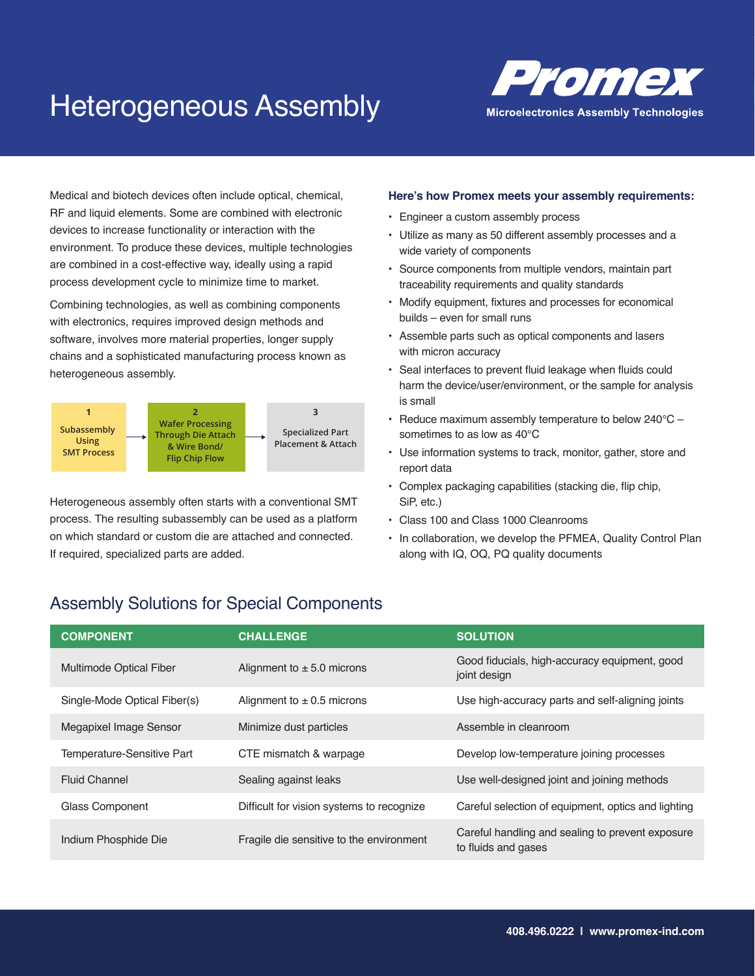## Heterogeneous Assembly



Medical and biotech devices often include optical, chemical, RF and liquid elements. Some are combined with electronic devices to increase functionality or interaction with the environment. To produce these devices, multiple technologies are combined in a cost-effective way, ideally using a rapid process development cycle to minimize time to market.

software, involves more material properties, longer supply Combining technologies, as well as combining components with electronics, requires improved design methods and chains and a sophisticated manufacturing process known as heterogeneous assembly.



Heterogeneous assembly often starts with a conventional SMT process. The resulting subassembly can be used as a platform on which standard or custom die are attached and connected. If required, specialized parts are added.

#### **Here's how Promex meets your assembly requirements:**

- Engineer a custom assembly process
- Utilize as many as 50 different assembly processes and a wide variety of components
- Source components from multiple vendors, maintain part traceability requirements and quality standards
- Modify equipment, fixtures and processes for economical builds – even for small runs
- Assemble parts such as optical components and lasers with micron accuracy
- Seal interfaces to prevent fluid leakage when fluids could harm the device/user/environment, or the sample for analysis is small
- Reduce maximum assembly temperature to below 240°C sometimes to as low as 40°C
- Use information systems to track, monitor, gather, store and report data
- Complex packaging capabilities (stacking die, flip chip, SiP, etc.)
- Class 100 and Class 1000 Cleanrooms
- In collaboration, we develop the PFMEA, Quality Control Plan along with IQ, OQ, PQ quality documents

#### Assembly Solutions for Special Components

| <b>COMPONENT</b>               | <b>CHALLENGE</b>                          | <b>SOLUTION</b>                                                         |
|--------------------------------|-------------------------------------------|-------------------------------------------------------------------------|
| <b>Multimode Optical Fiber</b> | Alignment to $\pm$ 5.0 microns            | Good fiducials, high-accuracy equipment, good<br>joint design           |
| Single-Mode Optical Fiber(s)   | Alignment to $\pm$ 0.5 microns            | Use high-accuracy parts and self-aligning joints                        |
| Megapixel Image Sensor         | Minimize dust particles                   | Assemble in cleanroom                                                   |
| Temperature-Sensitive Part     | CTE mismatch & warpage                    | Develop low-temperature joining processes                               |
| <b>Fluid Channel</b>           | Sealing against leaks                     | Use well-designed joint and joining methods                             |
| Glass Component                | Difficult for vision systems to recognize | Careful selection of equipment, optics and lighting                     |
| Indium Phosphide Die           | Fragile die sensitive to the environment  | Careful handling and sealing to prevent exposure<br>to fluids and gases |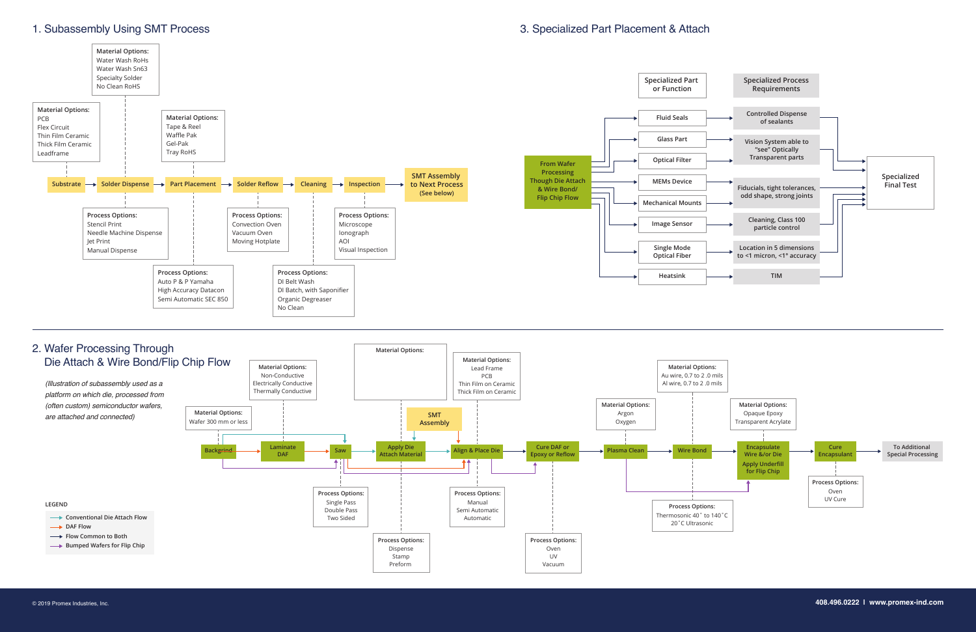#### 3. Specialized Part Placement & Attach

#### 1. Subassembly Using SMT Process



# 2. Wafer Processing Through